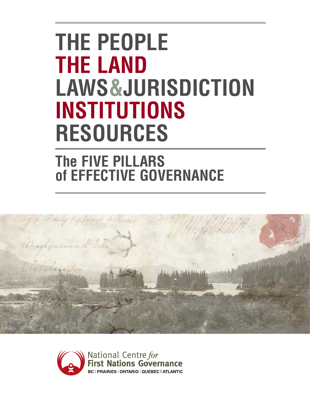# **THE PEOPLE THE LAND LAWS&JURISDICTION INSTITUTIONS RESOURCES**

## **The FIVE PILLARS of EFFECTIVE GOVERNANCE**



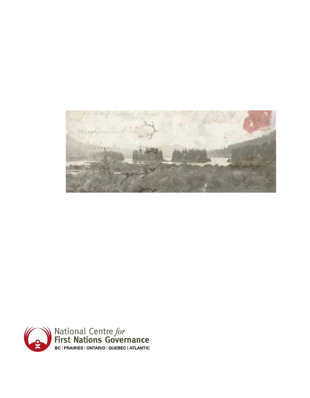

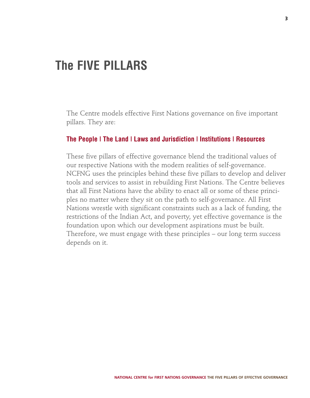### **The FIVE PILLARS**

The Centre models effective First Nations governance on five important pillars. They are:

#### **The People | The Land | Laws and Jurisdiction | Institutions | Resources**

These five pillars of effective governance blend the traditional values of our respective Nations with the modern realities of self-governance. NCFNG uses the principles behind these five pillars to develop and deliver tools and services to assist in rebuilding First Nations. The Centre believes that all First Nations have the ability to enact all or some of these principles no matter where they sit on the path to self-governance. All First Nations wrestle with significant constraints such as a lack of funding, the restrictions of the Indian Act, and poverty, yet effective governance is the foundation upon which our development aspirations must be built. Therefore, we must engage with these principles – our long term success depends on it.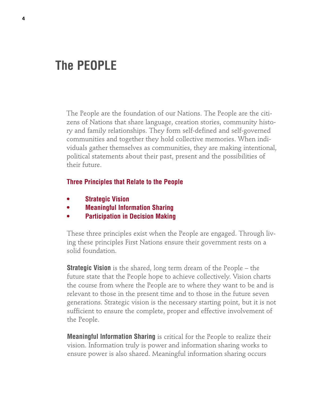### **The PEOPLE**

The People are the foundation of our Nations. The People are the citizens of Nations that share language, creation stories, community history and family relationships. They form self-defined and self-governed communities and together they hold collective memories. When individuals gather themselves as communities, they are making intentional, political statements about their past, present and the possibilities of their future.

#### **Three Principles that Relate to the People**

- **• Strategic Vision**
- **• Meaningful Information Sharing**
- **• Participation in Decision Making**

These three principles exist when the People are engaged. Through living these principles First Nations ensure their government rests on a solid foundation.

**Strategic Vision** is the shared, long term dream of the People – the future state that the People hope to achieve collectively. Vision charts the course from where the People are to where they want to be and is relevant to those in the present time and to those in the future seven generations. Strategic vision is the necessary starting point, but it is not sufficient to ensure the complete, proper and effective involvement of the People.

**Meaningful Information Sharing** is critical for the People to realize their vision. Information truly is power and information sharing works to ensure power is also shared. Meaningful information sharing occurs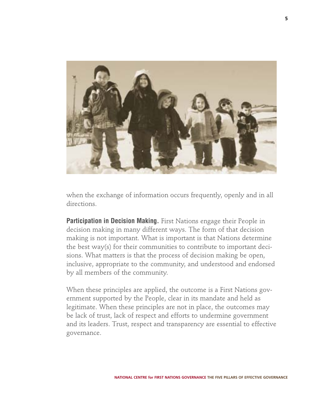

when the exchange of information occurs frequently, openly and in all directions.

**Participation in Decision Making.** First Nations engage their People in decision making in many different ways. The form of that decision making is not important. What is important is that Nations determine the best way(s) for their communities to contribute to important decisions. What matters is that the process of decision making be open, inclusive, appropriate to the community, and understood and endorsed by all members of the community.

When these principles are applied, the outcome is a First Nations government supported by the People, clear in its mandate and held as legitimate. When these principles are not in place, the outcomes may be lack of trust, lack of respect and efforts to undermine government and its leaders. Trust, respect and transparency are essential to effective governance.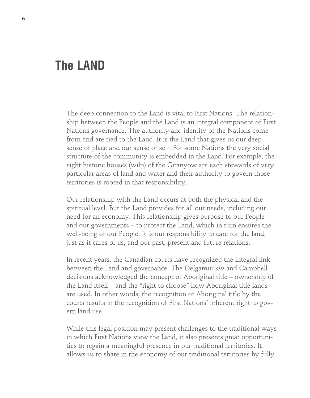### **The LAND**

The deep connection to the Land is vital to First Nations. The relationship between the People and the Land is an integral component of First Nations governance. The authority and identity of the Nations come from and are tied to the Land. It is the Land that gives us our deep sense of place and our sense of self. For some Nations the very social structure of the community is embedded in the Land. For example, the eight historic houses (wilp) of the Gitanyow are each stewards of very particular areas of land and water and their authority to govern those territories is rooted in that responsibility.

Our relationship with the Land occurs at both the physical and the spiritual level. But the Land provides for all our needs, including our need for an economy. This relationship gives purpose to our People and our governments – to protect the Land, which in turn ensures the well-being of our People. It is our responsibility to care for the land, just as it cares of us, and our past, present and future relations.

In recent years, the Canadian courts have recognized the integral link between the Land and governance. The Delgamuukw and Campbell decisions acknowledged the concept of Aboriginal title – ownership of the Land itself – and the "right to choose" how Aboriginal title lands are used. In other words, the recognition of Aboriginal title by the courts results in the recognition of First Nations' inherent right to govern land use.

While this legal position may present challenges to the traditional ways in which First Nations view the Land, it also presents great opportunities to regain a meaningful presence in our traditional territories. It allows us to share in the economy of our traditional territories by fully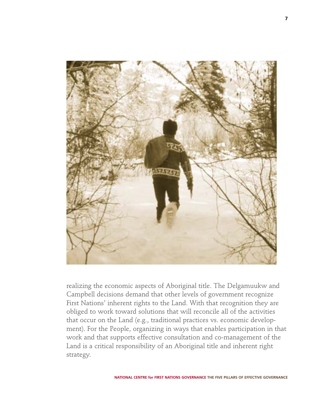

realizing the economic aspects of Aboriginal title. The Delgamuukw and Campbell decisions demand that other levels of government recognize First Nations' inherent rights to the Land. With that recognition they are obliged to work toward solutions that will reconcile all of the activities that occur on the Land (e.g., traditional practices vs. economic development). For the People, organizing in ways that enables participation in that work and that supports effective consultation and co-management of the Land is a critical responsibility of an Aboriginal title and inherent right strategy.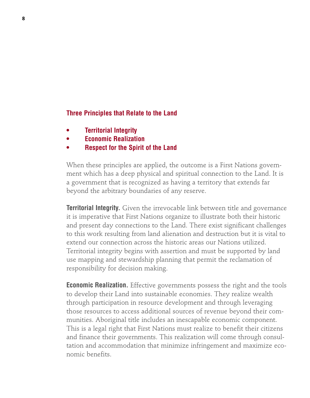#### **Three Principles that Relate to the Land**

- **• Territorial Integrity**
- **• Economic Realization**
- **• Respect for the Spirit of the Land**

When these principles are applied, the outcome is a First Nations government which has a deep physical and spiritual connection to the Land. It is a government that is recognized as having a territory that extends far beyond the arbitrary boundaries of any reserve.

**Territorial Integrity.** Given the irrevocable link between title and governance it is imperative that First Nations organize to illustrate both their historic and present day connections to the Land. There exist significant challenges to this work resulting from land alienation and destruction but it is vital to extend our connection across the historic areas our Nations utilized. Territorial integrity begins with assertion and must be supported by land use mapping and stewardship planning that permit the reclamation of responsibility for decision making.

**Economic Realization.** Effective governments possess the right and the tools to develop their Land into sustainable economies. They realize wealth through participation in resource development and through leveraging those resources to access additional sources of revenue beyond their communities. Aboriginal title includes an inescapable economic component. This is a legal right that First Nations must realize to benefit their citizens and finance their governments. This realization will come through consultation and accommodation that minimize infringement and maximize economic benefits.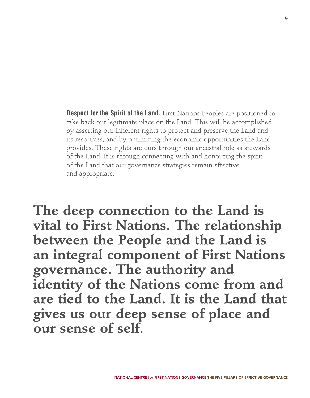**Respect for the Spirit of the Land.** First Nations Peoples are positioned to take back our legitimate place on the Land. This will be accomplished by asserting our inherent rights to protect and preserve the Land and its resources, and by optimizing the economic opportunities the Land provides. These rights are ours through our ancestral role as stewards of the Land. It is through connecting with and honouring the spirit of the Land that our governance strategies remain effective and appropriate.

**The deep connection to the Land is vital to First Nations. The relationship between the People and the Land is an integral component of First Nations governance. The authority and identity of the Nations come from and are tied to the Land. It is the Land that gives us our deep sense of place and our sense of self.**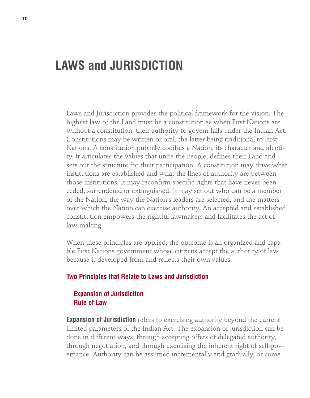### **LAWS and JURISDICTION**

Laws and Jurisdiction provides the political framework for the vision. The highest law of the Land must be a constitution as when First Nations are without a constitution, their authority to govern falls under the Indian Act. Constitutions may be written or oral, the latter being traditional to First Nations. A constitution publicly codifies a Nation, its character and identity. It articulates the values that unite the People, defines their Land and sets out the structure for their participation. A constitution may drive what institutions are established and what the lines of authority are between those institutions. It may reconfirm specific rights that have never been ceded, surrendered or extinguished. It may set out who can be a member of the Nation, the way the Nation's leaders are selected, and the matters over which the Nation can exercise authority. An accepted and established constitution empowers the rightful lawmakers and facilitates the act of law-making.

When these principles are applied, the outcome is an organized and capable First Nations government whose citizens accept the authority of law because it developed from and reflects their own values.

#### **Two Principles that Relate to Laws and Jurisdiction**

### **Expansion of Jurisdiction Rule of Law**

**Expansion of Jurisdiction** refers to exercising authority beyond the current limited parameters of the Indian Act. The expansion of jurisdiction can be done in different ways: through accepting offers of delegated authority, through negotiation, and through exercising the inherent right of self-governance. Authority can be assumed incrementally and gradually, or come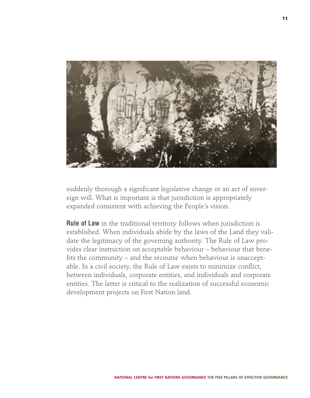

suddenly thorough a significant legislative change or an act of sovereign will. What is important is that jurisdiction is appropriately expanded consistent with achieving the People's vision.

**Rule of Law** in the traditional territory follows when jurisdiction is established. When individuals abide by the laws of the Land they validate the legitimacy of the governing authority. The Rule of Law provides clear instruction on acceptable behaviour – behaviour that benefits the community – and the recourse when behaviour is unacceptable. In a civil society, the Rule of Law exists to minimize conflict, between individuals, corporate entities, and individuals and corporate entities. The latter is critical to the realization of successful economic development projects on First Nation land.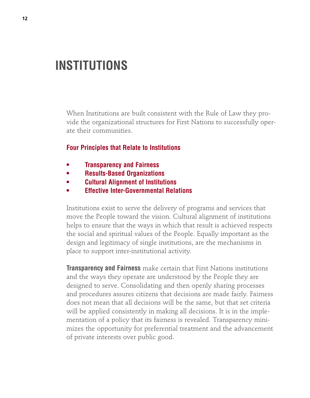### **INSTITUTIONS**

When Institutions are built consistent with the Rule of Law they provide the organizational structures for First Nations to successfully operate their communities.

#### **Four Principles that Relate to Institutions**

- **• Transparency and Fairness**
- **• Results-Based Organizations**
- **• Cultural Alignment of Institutions**
- **• Effective Inter-Governmental Relations**

Institutions exist to serve the delivery of programs and services that move the People toward the vision. Cultural alignment of institutions helps to ensure that the ways in which that result is achieved respects the social and spiritual values of the People. Equally important as the design and legitimacy of single institutions, are the mechanisms in place to support inter-institutional activity.

**Transparency and Fairness** make certain that First Nations institutions and the ways they operate are understood by the People they are designed to serve. Consolidating and then openly sharing processes and procedures assures citizens that decisions are made fairly. Fairness does not mean that all decisions will be the same, but that set criteria will be applied consistently in making all decisions. It is in the implementation of a policy that its fairness is revealed. Transparency minimizes the opportunity for preferential treatment and the advancement of private interests over public good.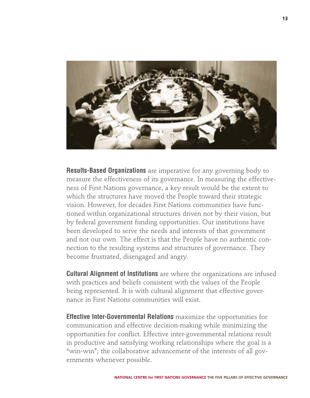

**Results-Based Organizations** are imperative for any governing body to measure the effectiveness of its governance. In measuring the effectiveness of First Nations governance, a key result would be the extent to which the structures have moved the People toward their strategic vision. However, for decades First Nations communities have functioned within organizational structures driven not by their vision, but by federal government funding opportunities. Our institutions have been developed to serve the needs and interests of that government and not our own. The effect is that the People have no authentic connection to the resulting systems and structures of governance. They become frustrated, disengaged and angry.

**Cultural Alignment of Institutions** are where the organizations are infused with practices and beliefs consistent with the values of the People being represented. It is with cultural alignment that effective governance in First Nations communities will exist.

**Effective Inter-Governmental Relations** maximize the opportunities for communication and effective decision-making while minimizing the opportunities for conflict. Effective inter-governmental relations result in productive and satisfying working relationships where the goal is a "win-win"; the collaborative advancement of the interests of all governments whenever possible.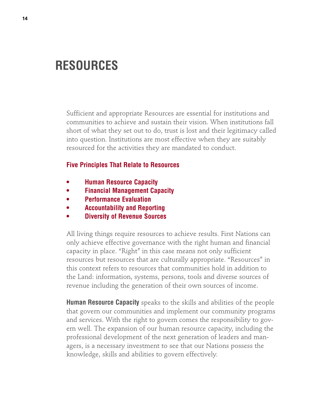### **RESOURCES**

Sufficient and appropriate Resources are essential for institutions and communities to achieve and sustain their vision. When institutions fall short of what they set out to do, trust is lost and their legitimacy called into question. Institutions are most effective when they are suitably resourced for the activities they are mandated to conduct.

#### **Five Principles That Relate to Resources**

- **• Human Resource Capacity**
- **• Financial Management Capacity**
- **• Performance Evaluation**
- **• Accountability and Reporting**
- **• Diversity of Revenue Sources**

All living things require resources to achieve results. First Nations can only achieve effective governance with the right human and financial capacity in place. "Right" in this case means not only sufficient resources but resources that are culturally appropriate. "Resources" in this context refers to resources that communities hold in addition to the Land: information, systems, persons, tools and diverse sources of revenue including the generation of their own sources of income.

**Human Resource Capacity** speaks to the skills and abilities of the people that govern our communities and implement our community programs and services. With the right to govern comes the responsibility to govern well. The expansion of our human resource capacity, including the professional development of the next generation of leaders and managers, is a necessary investment to see that our Nations possess the knowledge, skills and abilities to govern effectively.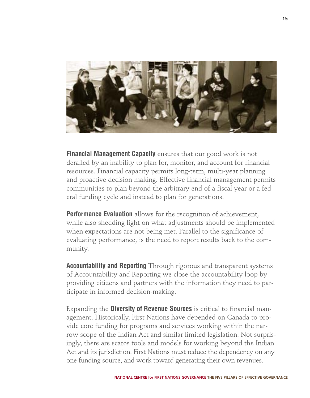

**Financial Management Capacity** ensures that our good work is not derailed by an inability to plan for, monitor, and account for financial resources. Financial capacity permits long-term, multi-year planning and proactive decision making. Effective financial management permits communities to plan beyond the arbitrary end of a fiscal year or a federal funding cycle and instead to plan for generations.

**Performance Evaluation** allows for the recognition of achievement, while also shedding light on what adjustments should be implemented when expectations are not being met. Parallel to the significance of evaluating performance, is the need to report results back to the community.

**Accountability and Reporting** Through rigorous and transparent systems of Accountability and Reporting we close the accountability loop by providing citizens and partners with the information they need to participate in informed decision-making.

Expanding the **Diversity of Revenue Sources** is critical to financial management. Historically, First Nations have depended on Canada to provide core funding for programs and services working within the narrow scope of the Indian Act and similar limited legislation. Not surprisingly, there are scarce tools and models for working beyond the Indian Act and its jurisdiction. First Nations must reduce the dependency on any one funding source, and work toward generating their own revenues.